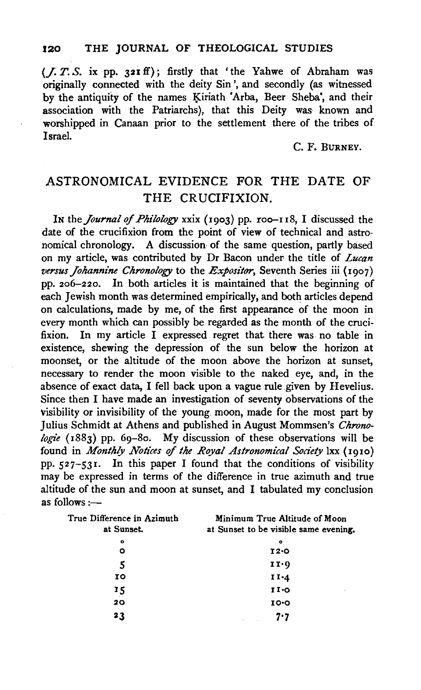(J. T. *S.* ix pp. 321 ff); firstly that 'the Yahwe of Abraham was originally connected with the deity Sin', and secondly (as witnessed by the antiquity of the names Kiriath 'Arba, Beer Sheba', and their association with the Patriarchs), that this Deity was known and worshipped in Canaan prior to the settlement there of the tribes of Israel.

c. F. BURNEY.

## ASTRONOMICAL EVIDENCE FOR THE DATE OF THE CRUCIFIXION.

In the *Journal of Philology* xxix (1903) pp. roo-118, I discussed the date of the crucifixion from the point of view of technical and astronomical chronology. A discussion of the same question, partly based on my article, was contributed by Dr Bacon under the title of *Lucan versus Johannine Chronology* to the *Expositor*, Seventh Series iii (1907) pp. 206-220. In both articles it is maintained that the beginning of each Jewish month was determined empirically, and both articles depend on calculations, made by me, of the first appearance of the moon in every month which can possibly be regarded as the month of the crucifixion. In my article I expressed regret that there was no table in existence, shewing the depression of the sun below the horizon at moonset, or the altitude of the moon above the horizon at sunset, necessary to render the moon visible to the naked eye, and, in the absence of exact data, I fell back upon a vague rule given by Hevelius. Since then I have made an investigation of seventy observations of the visibility or invisibility of the young. moon, made for the most part by Julius Schmidt at Athens and published in August Mommsen's *Chronologie* (r883) pp. 6g-8o. My discussion of these observations will be found in *Monthly Notices of the Royal Astronomical Society* lxx (1910) pp. 527-531. In this paper I found that the conditions of visibility may be expressed in terms of the difference in true azimuth and true altitude of the sun and moon at sunset, and I tabulated my conclusion as follows  $:=$ 

| True Difference in Azimuth<br>at Sunset. | Minimum True Altitude of Moon<br>at Sunset to be visible same evening. |  |  |  |  |
|------------------------------------------|------------------------------------------------------------------------|--|--|--|--|
| ۰                                        | ۰                                                                      |  |  |  |  |
| ۰                                        | 12.0                                                                   |  |  |  |  |
| 5                                        | 11.9                                                                   |  |  |  |  |
| ΙO                                       | $II - 4$                                                               |  |  |  |  |
| 15                                       | 11.0<br>٠                                                              |  |  |  |  |
| 20                                       | 10.0                                                                   |  |  |  |  |
| 23                                       | フ・フ                                                                    |  |  |  |  |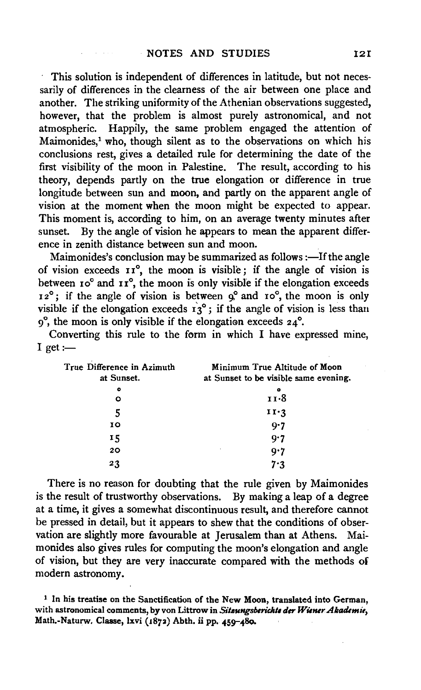This solution is independent of differences in latitude, but not necessarily of differences in the clearness of the air between one place and another. The striking uniformity of the Athenian observations suggested, however, that the problem is almost purely astronomical, and not atmospheric. Happily, the same problem engaged the attention of Maimonides,<sup>1</sup> who, though silent as to the observations on which his conclusions rest, gives a detailed rule for determining the date of the first visibility of the moon in Palestine. The result, according to his theory, depends partly on the true elongation or difference in true longitude between sun and moon, and partly on the apparent angle of vision at the moment when the moon might be expected to appear. This moment is, according to him, on an average twenty minutes after sunset. By the angle of vision he appears to mean the apparent difference in zenith distance between sun and moon.

Maimonides's conclusion may be summarized as follows :—If the angle of vision exceeds  $I_1$ <sup>o</sup>, the moon is visible; if the angle of vision is between  $10^{\circ}$  and  $11^{\circ}$ , the moon is only visible if the elongation exceeds  $12^{\circ}$ ; if the angle of vision is between  $9^{\circ}$  and  $10^{\circ}$ , the moon is only visible if the elongation exceeds  $r_3^{\circ}$ ; if the angle of vision is less than  $9^\circ$ , the moon is only visible if the elongation exceeds  $24^\circ$ .

Converting this rule to the form in which I have expressed mine, I get : $-$ 

| True Difference in Azimuth<br>at Sunset. | Minimum True Altitude of Moon<br>at Sunset to be visible same evening. |  |  |  |  |
|------------------------------------------|------------------------------------------------------------------------|--|--|--|--|
| ۰                                        | ۰                                                                      |  |  |  |  |
| ο                                        | 11.8                                                                   |  |  |  |  |
| 5                                        | 11.3                                                                   |  |  |  |  |
| 10                                       | 9.7                                                                    |  |  |  |  |
| 15                                       | 9.7                                                                    |  |  |  |  |
| 20                                       | 9.7                                                                    |  |  |  |  |
| 23                                       | 7.3                                                                    |  |  |  |  |

There is no reason for doubting that the rule given by Maimonides is the result of trustworthy observations. By making a leap of a degree at a time, it gives a somewhat discontinuous result, and therefore cannot be pressed in detail, but it appears to shew that the conditions of observation are slightly more favourable at Jerusalem than at Athens. Maimonides also gives rules for computing the moon's elongation and angle of vision, but they are very inaccurate compared with the methods of modern astronomy.

<sup>1</sup> In his treatise on the Sanctification of the New Moon, translated into German, with astronomical comments, by von Littrow in Sitsungsberichte der Wiener Akademie, Math.-Naturw. Classe, lxvi (187a) Abth. ii pp. 459-48o.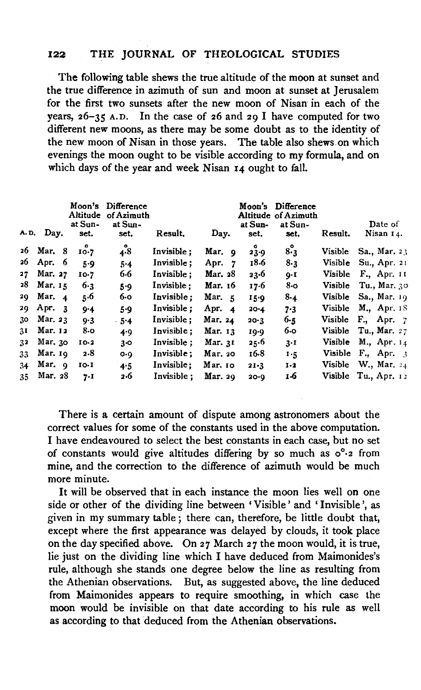#### 122 THE JOURNAL OF THEOLOGICAL STUDIES

The following table shews the true altitude of the moon at sunset and the true difference in azimuth of sun and moon at sunset at Jerusalem for the first two sunsets after the new moon of Nisan in each of the years,  $26-35$  A.D. In the case of 26 and 29 I have computed for two different new moons, as there may be some doubt as to the identity of the new moon of Nisan in those years. The table also shews on which evenings the moon ought to be visible according to my formula, and on which days of the year and week Nisan 14 ought to fall.

|     | A.D. Day.          | Altitude<br>at Sun-<br>set. | Moon's Difference<br>of Azimuth<br>at Sun-<br>set. | Result.     | Day.      | at Sun-<br>set. | Moon's Difference<br>Altitude of Azimuth<br>at Sun-<br>set. | Result.        | Date of<br>Nisan 14.         |
|-----|--------------------|-----------------------------|----------------------------------------------------|-------------|-----------|-----------------|-------------------------------------------------------------|----------------|------------------------------|
| 26  | Mar. 8             | $\bullet$<br>10.7           | $\bullet$<br>4.8                                   | Invisible:  | Mar. 9    | 23.9            | 8.3                                                         | Visible        | Sa., Mar. 23                 |
| 26  | Арг. 6             | 5.9                         | 5.4                                                | Invisible:  | Apr. 7    | 18.6            | 8.3                                                         | Visible        | $Su.,$ Apr. $21$             |
| 27  | Mar. 27            | IQ.7                        | 6.6                                                | Invisible:  | Mar. 28   | 23.6            | $9 - I$                                                     | Visible        | $F_{\cdot}$ , Apr. 11        |
| 28  | Mar. 15            | 6.3                         | 5.9                                                | Invisible:  | Mar. 16   | 17.6            | 8-0                                                         | Visible        | Tu., Mar. $30$               |
| 20  | Mar. $4$           | 5.6                         | $6 - 0$                                            | Invisible:  | Mar. $5$  | $15-0$          | 8.4                                                         | Visible        | $S_{a,1}$ , Mar. 19          |
| 20  | Apr. $\frac{1}{3}$ | 9.4                         | 5.9                                                | Invisible : | Apr. 4    | $20 - 4$        | $7 - 3$                                                     | Visible        | M., Apr. 18                  |
| 30  | Mar. 23            | 9.3                         | $-5.4$                                             | Invisible:  | Mar. 24   | 20.3            | $6 - 5$                                                     | Visible        | $F_{1}$ , Apr. 7             |
| 31  | Mar. 12            | 8.0                         | 4.9                                                | Invisible ; | Mar. 13   | 10.9            | 6.o                                                         | Visible        | Tu., Mar. $27$               |
| 32  | Mar. 30            | $I$ O $-2$                  | $3-0$                                              | Invisible:  | Mar. $31$ | 25.6            | $3 - I$                                                     | Visible        | M., Apr. 14                  |
| 33  | Mar. $IQ$          | $2 - 8$                     | O O                                                | Invisible;  | Mar. 20   | 16-8            | 1.5                                                         |                | Visible $F_{12}$ , Apr. 3    |
| 34  | Mar. 9             | 10.1                        | 4.5                                                | Invisible:  | Mar. Io   | 21.3            | $I-2$                                                       | <b>Visible</b> | $W_{1}$ , Mar. $\frac{1}{4}$ |
| 35. | Mar. 28            | $7 - I$                     | 2.6                                                | Invisible:  | Mar. 29   | $20 - 9$        | 16                                                          |                | Visible Tu., Apr. 12         |

There is a certain amount of dispute among astronomers about the correct values for some of the constants used in the above computation. I have endeavoured to select the best constants in each case, but no set of constants would give altitudes differing by so much as  $o^0 \cdot 2$  from mine, and the correction to the difference of azimuth would be much more minute.

It will be observed that in each instance the moon lies well on one side or other of the dividing line between 'Visible' and 'Invisible', as given in my summary table; there can, therefore, be little doubt that, except where the first appearance was delayed by clouds, it took place on the day specified above. On 27 March 27 the moon would, it is true, lie just on the dividing line which I have deduced from Maimonides's rule, although she stands one degree below the line as resulting from the Athenian observations. But, as suggested above, the line deduced from Maimonides appears to require smoothing, in which case the moon would be invisible on that date according to his rule as well as according to that deduced from the Athenian observations.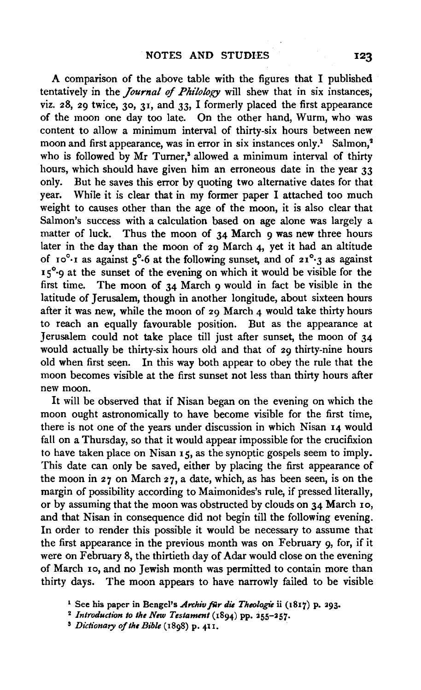A comparison of the above table with the figures that I published tentatively in the *Journal* of *Philology* will shew that in six instances; viz.  $28$ ,  $29$  twice,  $30$ ,  $31$ , and  $33$ , I formerly placed the first appearance of the moon one day too late. On the other hand, Wurm, who was content to allow a minimum interval of thirty-six hours between new moon and first appearance, was in error in six instances only.<sup>1</sup> Salmon,<sup>2</sup> who is followed by Mr Turner,<sup>3</sup> allowed a minimum interval of thirty hours, which should have given him an erroneous date in the year 33 only. But he saves this error by quoting two alternative dates for that year. While it is clear that in my former paper I attached too much weight to causes other than the age of the moon, it is also clear that Salmon's success with a calculation based on age alone was largely a matter of luck. Thus the moon of 34 March 9 was new three hours later in the day than the moon of 29 March 4, yet it had an altitude of  $10^{\circ}$ ·1 as against  $5^{\circ}$ ·6 at the following sunset, and of  $21^{\circ}$ ·3 as against 15<sup>°</sup>·9 at the sunset of the evening on which it would be visible for the first time. The moon of 34 March 9 would in fact be visible in the latitude of Jerusalem, though in another longitude, about sixteen hours after it was new, while the moon of 29 March 4 would take thirty hours to reach an equally favourable position. But as the appearance at Jerusalem could not take place till just after sunset, the moon of 34 would actually be thirty-six hours old and that of 29 thirty-nine hours old when first seen. In this way both appear to obey the rule that the moon becomes visible at the first sunset not less than thirty hours after new moon.

It will be observed that if Nisan began on the evening on which the moon ought astronomically to have become visible for the first time, there is not one of the years under discussion in which Nisan 14 would fall on a Thursday, so that it would appear impossible for the crucifixion to have taken place on Nisan 15, as the synoptic gospels seem to imply. This date can only be saved, either by placing the first appearance of the moon in 27 on March 27, a date, which, as has been seen, is on the margin of possibility according to Maimonides's rule, if pressed literally, or by assuming that the moon was obstructed by clouds on 34 March xo, and that Nisan in consequence did not begin till the following evening. In order to render this possible it would be necessary to assume that the first appearance in the previous month was on February 9, for, if it were on February 8, the thirtieth day of Adar would close on the evening of March 10, and no Jewish month was permitted to contain more than thirty days. The moon appears to have narrowly failed to be visible

<sup>&</sup>lt;sup>1</sup> See his paper in Bengel's *Archiv für die Theologie* ii (1817) p. 293.<br><sup>2</sup> *Introduction to the New Testament* (1894) pp. 255-257.<br><sup>3</sup> *Dictionary of the Bible* (1898) p. 411.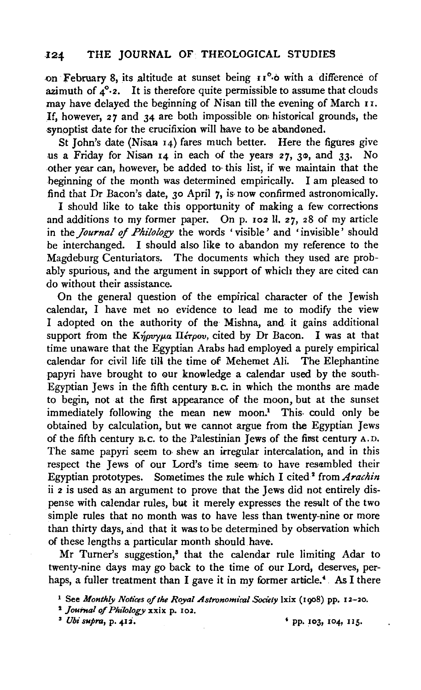on February 8, its altitude at sunset being I I <sup>0</sup> ·6 with a ·difference of azimuth of  $\mathbf{A}^{\circ} \cdot \mathbf{z}$ . It is therefore quite permissible to assume that clouds may have delayed the beginning of Nisan till the evening of March 11. If, however, 27 and 34 are both impossible on• historical grounds, the synoptist date for the crucifixion will have to be abandoned.

St John's date (Nisan  $14$ ) fares much better. Here the figures give us a Friday for Nisan 14 in each of the years 27, 30, and 33. No other year can, however., be added to· this list, if we maintain that the beginning of the month was determined empirically. I am pleased to find that Dr Bacon's date, 30 April 7, is· now confirmed astronomically.

I should like to take this opportunity of making a few corrections and additions to my former paper. On p. I02 11. 27, 28 of my article in the *Journal of Philology* the words 'visible' and 'invisible' should be interchanged. I should also like to abandon my reference to the Magdeburg Centuriators. The documents which they used are probably spurious, and the argument in support of which they are cited can do without their assistance.

On the general question of the empirical character of the Jewish calendar, I have met no evidence to lead me to modify the view I adopted on the authority of the Mishna, and it gains additional support from the  $K\eta\rho\nu\gamma\mu a$  *II troov*, cited by Dr Bacon. I was at that time unaware that the Egyptian Arabs had employed a purely empirical calendar for civil life till the time of Mehemet Ali. The Elephantine papyri have brought to 0ur knowledge a calendar used by the south-Egyptian Jews in the fifth century B. c. in which the months are made to begin, not at the first appearance of the moon, but at the sunset immediately following the mean new moon.<sup>1</sup> This could only be obtained by calculation, but we cannot argue from the Egyptian Jews of the fifth century B.C. to the Palestinian Jews of the first century  $A.D.$ The same papyri seem to shew an irregular intercalation, and in this respect the Jews of our Lord's time seem to have resembled their Egyptian prototypes. Sometimes the rule which I cited<sup>2</sup> from *Arachin* ii 2 is used as an argument to prove that the Jews did not entirely dispense with calendar rules, but it merely expresses the result of the two simple rules that no month was to have less than twenty-nine or more than thirty days, and that it was to be determined by observation which of these lengths a particular month should have.

Mr Turner's suggestion,• that the calendar rule limiting Adar to twenty-nine days may go back to the time of our Lord, deserves, perhaps, a fuller treatment than I gave it in my former article.<sup>4</sup> As I there

<sup>1</sup> See *Monthly Notices of the Royal Astronomical Society* lxix (11)08) pp. u-20. <sup>2</sup>/<sub>2</sub> Journaly *Ivonces of the Royal As*<br>In 2020, *Life Division* 

<sup>&</sup>lt;sup>2</sup> *Journal of Philology* xxix p. 102.<br><sup>3</sup> *Ubi supra*, p. 412.<br>**4** *Pp. 103, 104, 115.*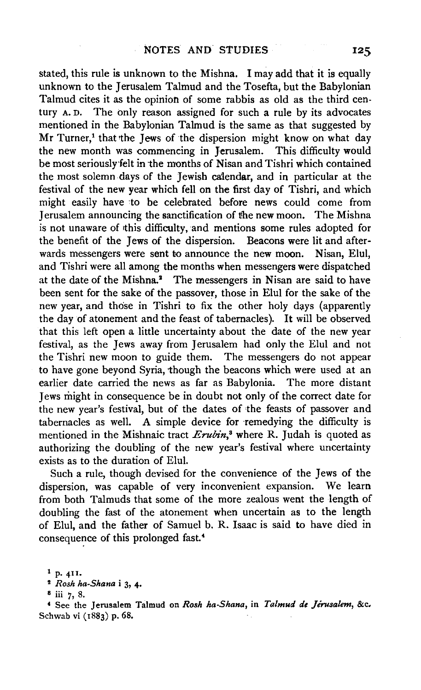stated, this rule is unknown to the Mishna. I may add that it is equally unknown to the Jerusalem Talmud and the Tosefta, but the Babylonian Talmud cites it as the opinion of some rabbis as old as the third century A. D. The only reason assigned for such a rule by its advocates mentioned in the Babylonian Talmud is the same as that suggested by Mr Turner,<sup>1</sup> that the Jews of the dispersion might know on what day the new month was commencing in Jerusalem. This difficulty would be most seriously 'felt in the months of Nisan and Tishri which contained the most solemn days of the Jewish calendar, and in particular at the festival of the new year which fell on the first day of Tishri, and which might easily have to be celebrated before news could come from Jerusalem announcing the sanctification of the new moon. The Mishna is not unaware of this difficulty, and mentions some rules adopted for the benefit of the Jews of the dispersion. Beacons were lit and afterwards messengers were sent to announce the new moon. Nisan, Elul, and Tishri were all among the months when messengers were dispatched at the date of the Mishna.<sup>2</sup> The messengers in Nisan are said to have been sent for the sake of the passover, those in Elul for the sake of the new year, and those in Tishri to fix the other holy days (apparently the day of atonement and the feast of tabernacles). It will be observed that this left open a little uncertainty about the date of the new year festival, as the Jews away from Jerusalem had only the Elul and not the Tishri new moon to guide them. The messengers do not appear to have gone beyond Syria, though the beacons which were used at an earlier date carried the news as far as Babylonia. The more distant Jews might in consequence be in doubt not only of the correct date for the new year's festival, but of the dates of the feasts of passover and tabernacles as well. A simple device for remedying the difficulty is mentioned in the Mishnaic tract *Erubin*,<sup>3</sup> where R. Judah is quoted as authorizing the doubling of the new year's festival where uncertainty exists as to the duration of Elul.

Such a rule, though devised for the convenience of the Jews of the dispersion, was capable of very inconvenient expansion. We learn from both Talmuds that some of the more zealous went the length of doubling the fast of the atonement when uncertain as to the length of Elul, and the father of Samuel b. R. Isaac is said to have died in consequence of this prolonged fast.<sup>4</sup>

<sup>1</sup> p. 4Il·

<sup>2</sup> *Rash ha-Shana* i 3, **4·** 

<sup>8</sup> iii 7, 8.

<sup>&#</sup>x27; See the Jerusalem Talmud on *Rosh ha-Shana,* in *Talmud de Jerusalem,* &c. Schwab vi (1883) p. 68.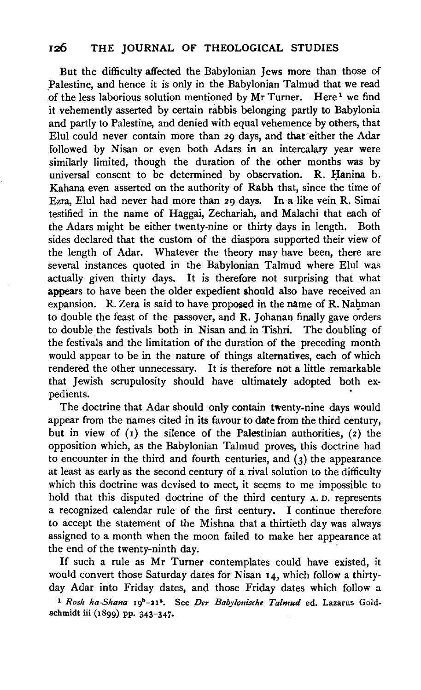### r26 THE JOURNAL OF THEOLOGICAL STUDIES

But the difficulty affected the Babylonian Jews more than those of .Palestine, and hence it is only in the Babylonian Talmud that we read of the less laborious solution mentioned by  $Mr$  Turner. Here<sup>1</sup> we find it vehemently asserted by certain rabbis belonging partly to Babylonia and partly to Palestine, and denied with equal vehemence by others, that Elul could never contain more than 29 days, and that either the Adar followed by Nisan or even both Adars in an intercalary year were similarly limited, though the duration of the other months was by universal consent to be determined by observation. R. Hanina b. Kahana even asserted on the authority of Rabh that, since the time of Ezra, Elul had never had more than 29 days. In a like vein R. Simai testified in the name of Haggai, Zechariah, and Malachi that each of the Adars might be either twenty-nine or thirty days in length. Both sides declared that the custom of the diaspora supported their view of the length of Adar. Whatever the theory may have been, there are several instances quoted in the Babylonian Talmud where Elul was actually given thirty days. It is therefore not surprising that what appears to have been the older expedient should also have received an expansion.  $R$ . Zera is said to have proposed in the name of  $R$ . Nahman to double the feast of the passover, and R. Johanan finally gave orders to double the festivals both in Nisan and in Tishri. The doubling of the festivals and the limitation of the duration of the preceding month would appear to be in the nature of things alternatives, each of which rendered the other unnecessary. It is therefore not a little remarkable that Jewish scrupulosity should have ultimately adopted both expedients.

The doctrine that Adar should only contain twenty-nine days would appear from the names cited in its favour to date from the third century, but in view of (1) the silence of the Palestinian authorities, (2) the opposition which, as the Babylonian Talmud proves, this doctrine had to encounter in the third and fourth centuries, and  $(3)$  the appearance at least as early as the second century of a rival solution to the difficulty which this doctrine was devised to meet, it seems to me impossible to hold that this disputed doctrine of the third century A. D. represents a recognized calendar rule of the first century. I continue therefore to accept the statement of the Mishna that a thirtieth day was always assigned to a month when the moon failed to make her appearance at the end of the twenty-ninth day.

If such a rule as Mr Turner contemplates could have existed, it would convert those Saturday dates for Nisan 14, which follow a thirtyday Adar into Friday dates, and those Friday dates which follow a

1 *Rash ha-Shana* 19b-21°. See *Der Bab)·lonische Talmud* ed. Lazarus Goldschmidt iii (1899) pp. 343-347·